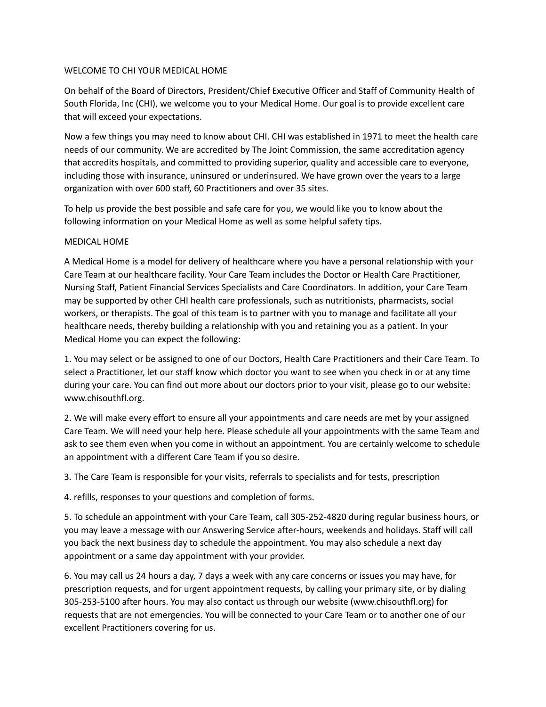## WELCOME TO CHI YOUR MEDICAL HOME

On behalf of the Board of Directors, President/Chief Executive Officer and Staff of Community Health of South Florida, Inc (CHI), we welcome you to your Medical Home. Our goal is to provide excellent care that will exceed your expectations.

Now a few things you may need to know about CHI. CHI was established in 1971 to meet the health care needs of our community. We are accredited by The Joint Commission, the same accreditation agency that accredits hospitals, and committed to providing superior, quality and accessible care to everyone, including those with insurance, uninsured or underinsured. We have grown over the years to a large organization with over 600 staff, 60 Practitioners and over 35 sites.

To help us provide the best possible and safe care for you, we would like you to know about the following information on your Medical Home as well as some helpful safety tips.

## MEDICAL HOME

A Medical Home is a model for delivery of healthcare where you have a personal relationship with your Care Team at our healthcare facility. Your Care Team includes the Doctor or Health Care Practitioner, Nursing Staff, Patient Financial Services Specialists and Care Coordinators. In addition, your Care Team may be supported by other CHI health care professionals, such as nutritionists, pharmacists, social workers, or therapists. The goal of this team is to partner with you to manage and facilitate all your healthcare needs, thereby building a relationship with you and retaining you as a patient. In your Medical Home you can expect the following:

1. You may select or be assigned to one of our Doctors, Health Care Practitioners and their Care Team. To select a Practitioner, let our staff know which doctor you want to see when you check in or at any time during your care. You can find out more about our doctors prior to your visit, please go to our website: www.chisouthfl.org.

2. We will make every effort to ensure all your appointments and care needs are met by your assigned Care Team. We will need your help here. Please schedule all your appointments with the same Team and ask to see them even when you come in without an appointment. You are certainly welcome to schedule an appointment with a different Care Team if you so desire.

3. The Care Team is responsible for your visits, referrals to specialists and for tests, prescription

4. refills, responses to your questions and completion of forms.

5. To schedule an appointment with your Care Team, call 305-252-4820 during regular business hours, or you may leave a message with our Answering Service after-hours, weekends and holidays. Staff will call you back the next business day to schedule the appointment. You may also schedule a next day appointment or a same day appointment with your provider.

6. You may call us 24 hours a day, 7 days a week with any care concerns or issues you may have, for prescription requests, and for urgent appointment requests, by calling your primary site, or by dialing 305-253-5100 after hours. You may also contact us through our website (www.chisouthfl.org) for requests that are not emergencies. You will be connected to your Care Team or to another one of our excellent Practitioners covering for us.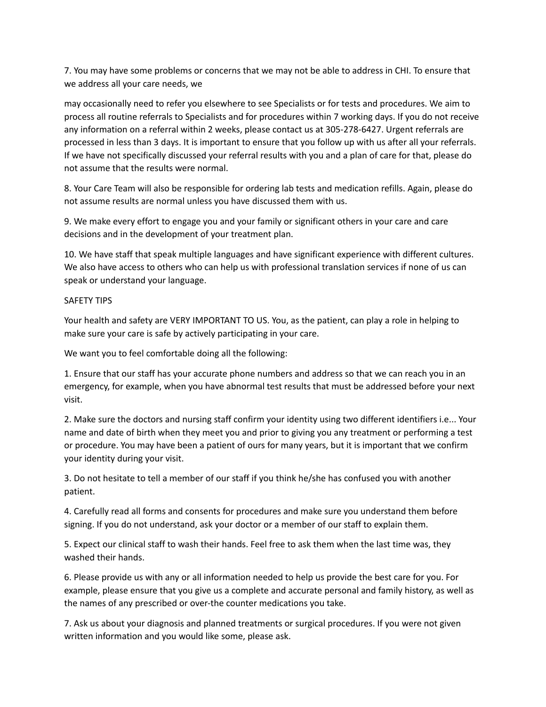7. You may have some problems or concerns that we may not be able to address in CHI. To ensure that we address all your care needs, we

may occasionally need to refer you elsewhere to see Specialists or for tests and procedures. We aim to process all routine referrals to Specialists and for procedures within 7 working days. If you do not receive any information on a referral within 2 weeks, please contact us at 305-278-6427. Urgent referrals are processed in less than 3 days. It is important to ensure that you follow up with us after all your referrals. If we have not specifically discussed your referral results with you and a plan of care for that, please do not assume that the results were normal.

8. Your Care Team will also be responsible for ordering lab tests and medication refills. Again, please do not assume results are normal unless you have discussed them with us.

9. We make every effort to engage you and your family or significant others in your care and care decisions and in the development of your treatment plan.

10. We have staff that speak multiple languages and have significant experience with different cultures. We also have access to others who can help us with professional translation services if none of us can speak or understand your language.

## SAFETY TIPS

Your health and safety are VERY IMPORTANT TO US. You, as the patient, can play a role in helping to make sure your care is safe by actively participating in your care.

We want you to feel comfortable doing all the following:

1. Ensure that our staff has your accurate phone numbers and address so that we can reach you in an emergency, for example, when you have abnormal test results that must be addressed before your next visit.

2. Make sure the doctors and nursing staff confirm your identity using two different identifiers i.e... Your name and date of birth when they meet you and prior to giving you any treatment or performing a test or procedure. You may have been a patient of ours for many years, but it is important that we confirm your identity during your visit.

3. Do not hesitate to tell a member of our staff if you think he/she has confused you with another patient.

4. Carefully read all forms and consents for procedures and make sure you understand them before signing. If you do not understand, ask your doctor or a member of our staff to explain them.

5. Expect our clinical staff to wash their hands. Feel free to ask them when the last time was, they washed their hands.

6. Please provide us with any or all information needed to help us provide the best care for you. For example, please ensure that you give us a complete and accurate personal and family history, as well as the names of any prescribed or over-the counter medications you take.

7. Ask us about your diagnosis and planned treatments or surgical procedures. If you were not given written information and you would like some, please ask.